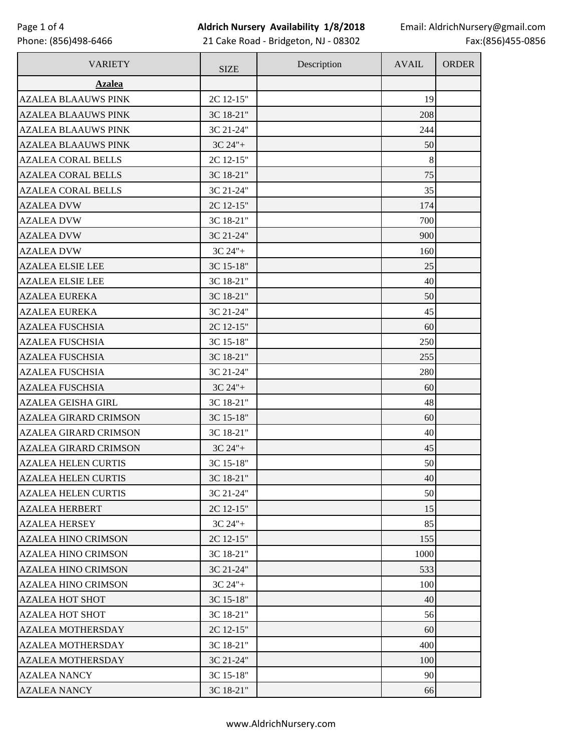## **Aldrich Nursery Availability 1/8/2018**

21 Cake Road - Bridgeton, NJ - 08302

| <b>VARIETY</b>               | <b>SIZE</b> | Description | <b>AVAIL</b> | <b>ORDER</b> |
|------------------------------|-------------|-------------|--------------|--------------|
| <b>Azalea</b>                |             |             |              |              |
| <b>AZALEA BLAAUWS PINK</b>   | 2C 12-15"   |             | 19           |              |
| <b>AZALEA BLAAUWS PINK</b>   | 3C 18-21"   |             | 208          |              |
| <b>AZALEA BLAAUWS PINK</b>   | 3C 21-24"   |             | 244          |              |
| <b>AZALEA BLAAUWS PINK</b>   | $3C 24" +$  |             | 50           |              |
| <b>AZALEA CORAL BELLS</b>    | 2C 12-15"   |             | 8            |              |
| <b>AZALEA CORAL BELLS</b>    | 3C 18-21"   |             | 75           |              |
| <b>AZALEA CORAL BELLS</b>    | 3C 21-24"   |             | 35           |              |
| <b>AZALEA DVW</b>            | 2C 12-15"   |             | 174          |              |
| <b>AZALEA DVW</b>            | 3C 18-21"   |             | 700          |              |
| <b>AZALEA DVW</b>            | 3C 21-24"   |             | 900          |              |
| <b>AZALEA DVW</b>            | 3C 24"+     |             | 160          |              |
| <b>AZALEA ELSIE LEE</b>      | 3C 15-18"   |             | 25           |              |
| <b>AZALEA ELSIE LEE</b>      | 3C 18-21"   |             | 40           |              |
| <b>AZALEA EUREKA</b>         | 3C 18-21"   |             | 50           |              |
| <b>AZALEA EUREKA</b>         | 3C 21-24"   |             | 45           |              |
| <b>AZALEA FUSCHSIA</b>       | 2C 12-15"   |             | 60           |              |
| <b>AZALEA FUSCHSIA</b>       | 3C 15-18"   |             | 250          |              |
| <b>AZALEA FUSCHSIA</b>       | 3C 18-21"   |             | 255          |              |
| <b>AZALEA FUSCHSIA</b>       | 3C 21-24"   |             | 280          |              |
| <b>AZALEA FUSCHSIA</b>       | $3C 24" +$  |             | 60           |              |
| <b>AZALEA GEISHA GIRL</b>    | 3C 18-21"   |             | 48           |              |
| <b>AZALEA GIRARD CRIMSON</b> | 3C 15-18"   |             | 60           |              |
| <b>AZALEA GIRARD CRIMSON</b> | 3C 18-21"   |             | 40           |              |
| <b>AZALEA GIRARD CRIMSON</b> | $3C 24" +$  |             | 45           |              |
| <b>AZALEA HELEN CURTIS</b>   | 3C 15-18"   |             | 50           |              |
| <b>AZALEA HELEN CURTIS</b>   | 3C 18-21"   |             | 40           |              |
| <b>AZALEA HELEN CURTIS</b>   | 3C 21-24"   |             | 50           |              |
| <b>AZALEA HERBERT</b>        | 2C 12-15"   |             | 15           |              |
| <b>AZALEA HERSEY</b>         | $3C 24" +$  |             | 85           |              |
| <b>AZALEA HINO CRIMSON</b>   | 2C 12-15"   |             | 155          |              |
| <b>AZALEA HINO CRIMSON</b>   | 3C 18-21"   |             | 1000         |              |
| <b>AZALEA HINO CRIMSON</b>   | 3C 21-24"   |             | 533          |              |
| <b>AZALEA HINO CRIMSON</b>   | $3C 24" +$  |             | 100          |              |
| <b>AZALEA HOT SHOT</b>       | 3C 15-18"   |             | 40           |              |
| <b>AZALEA HOT SHOT</b>       | 3C 18-21"   |             | 56           |              |
| <b>AZALEA MOTHERSDAY</b>     | 2C 12-15"   |             | 60           |              |
| <b>AZALEA MOTHERSDAY</b>     | 3C 18-21"   |             | 400          |              |
| <b>AZALEA MOTHERSDAY</b>     | 3C 21-24"   |             | 100          |              |
| <b>AZALEA NANCY</b>          | 3C 15-18"   |             | 90           |              |
| <b>AZALEA NANCY</b>          | 3C 18-21"   |             | 66           |              |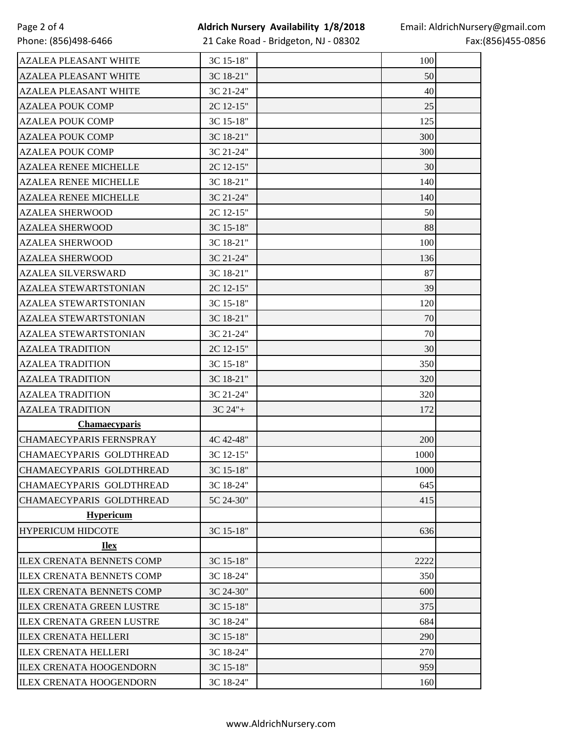## **Aldrich Nursery Availability 1/8/2018**

21 Cake Road - Bridgeton, NJ - 08302

| <b>AZALEA PLEASANT WHITE</b>     | 3C 15-18"  | 100  |  |
|----------------------------------|------------|------|--|
| <b>AZALEA PLEASANT WHITE</b>     | 3C 18-21"  | 50   |  |
| <b>AZALEA PLEASANT WHITE</b>     | 3C 21-24"  | 40   |  |
| <b>AZALEA POUK COMP</b>          | 2C 12-15"  | 25   |  |
| <b>AZALEA POUK COMP</b>          | 3C 15-18"  | 125  |  |
| <b>AZALEA POUK COMP</b>          | 3C 18-21"  | 300  |  |
| <b>AZALEA POUK COMP</b>          | 3C 21-24"  | 300  |  |
| <b>AZALEA RENEE MICHELLE</b>     | 2C 12-15"  | 30   |  |
| <b>AZALEA RENEE MICHELLE</b>     | 3C 18-21"  | 140  |  |
| <b>AZALEA RENEE MICHELLE</b>     | 3C 21-24"  | 140  |  |
| <b>AZALEA SHERWOOD</b>           | 2C 12-15"  | 50   |  |
| <b>AZALEA SHERWOOD</b>           | 3C 15-18"  | 88   |  |
| <b>AZALEA SHERWOOD</b>           | 3C 18-21"  | 100  |  |
| <b>AZALEA SHERWOOD</b>           | 3C 21-24"  | 136  |  |
| <b>AZALEA SILVERSWARD</b>        | 3C 18-21"  | 87   |  |
| <b>AZALEA STEWARTSTONIAN</b>     | 2C 12-15"  | 39   |  |
| <b>AZALEA STEWARTSTONIAN</b>     | 3C 15-18"  | 120  |  |
| <b>AZALEA STEWARTSTONIAN</b>     | 3C 18-21"  | 70   |  |
| <b>AZALEA STEWARTSTONIAN</b>     | 3C 21-24"  | 70   |  |
| <b>AZALEA TRADITION</b>          | 2C 12-15"  | 30   |  |
| <b>AZALEA TRADITION</b>          | 3C 15-18"  | 350  |  |
| <b>AZALEA TRADITION</b>          | 3C 18-21"  | 320  |  |
| <b>AZALEA TRADITION</b>          | 3C 21-24"  | 320  |  |
| <b>AZALEA TRADITION</b>          | $3C 24" +$ | 172  |  |
| <b>Chamaecyparis</b>             |            |      |  |
| <b>CHAMAECYPARIS FERNSPRAY</b>   | 4C 42-48"  | 200  |  |
| CHAMAECYPARIS GOLDTHREAD         | 3C 12-15"  | 1000 |  |
| CHAMAECYPARIS GOLDTHREAD         | 3C 15-18"  | 1000 |  |
| CHAMAECYPARIS GOLDTHREAD         | 3C 18-24"  | 645  |  |
| CHAMAECYPARIS GOLDTHREAD         | 5C 24-30"  | 415  |  |
| <b>Hypericum</b>                 |            |      |  |
| <b>HYPERICUM HIDCOTE</b>         | 3C 15-18"  | 636  |  |
| <b>Ilex</b>                      |            |      |  |
| <b>ILEX CRENATA BENNETS COMP</b> | 3C 15-18"  | 2222 |  |
| <b>ILEX CRENATA BENNETS COMP</b> | 3C 18-24"  | 350  |  |
| <b>ILEX CRENATA BENNETS COMP</b> | 3C 24-30"  | 600  |  |
| <b>ILEX CRENATA GREEN LUSTRE</b> | 3C 15-18"  | 375  |  |
| <b>ILEX CRENATA GREEN LUSTRE</b> | 3C 18-24"  | 684  |  |
| <b>ILEX CRENATA HELLERI</b>      | 3C 15-18"  | 290  |  |
| <b>ILEX CRENATA HELLERI</b>      | 3C 18-24"  | 270  |  |
| <b>ILEX CRENATA HOOGENDORN</b>   | 3C 15-18"  | 959  |  |
| <b>ILEX CRENATA HOOGENDORN</b>   | 3C 18-24"  | 160  |  |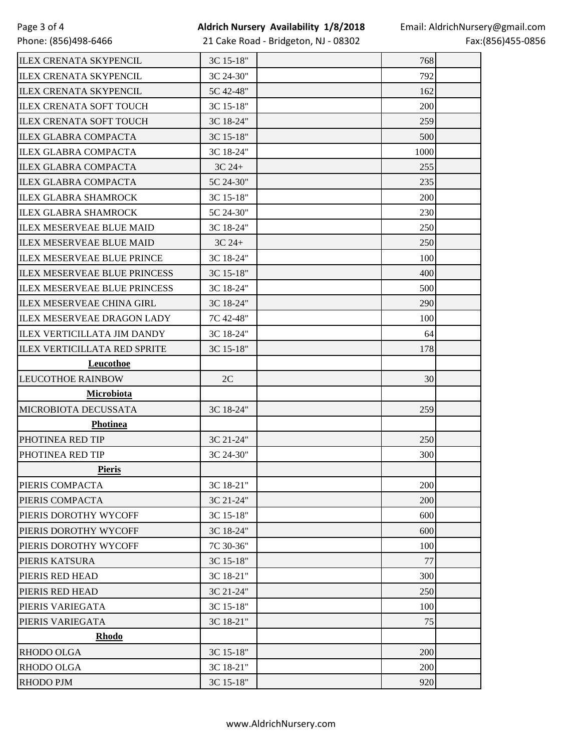21 Cake Road - Bridgeton, NJ - 08302

| <b>ILEX CRENATA SKYPENCIL</b>       | 3C 15-18"  | 768  |  |
|-------------------------------------|------------|------|--|
| <b>ILEX CRENATA SKYPENCIL</b>       | 3C 24-30"  | 792  |  |
| <b>ILEX CRENATA SKYPENCIL</b>       | 5C 42-48"  | 162  |  |
| <b>ILEX CRENATA SOFT TOUCH</b>      | 3C 15-18"  | 200  |  |
| <b>ILEX CRENATA SOFT TOUCH</b>      | 3C 18-24"  | 259  |  |
| <b>ILEX GLABRA COMPACTA</b>         | 3C 15-18"  | 500  |  |
| <b>ILEX GLABRA COMPACTA</b>         | 3C 18-24"  | 1000 |  |
| <b>ILEX GLABRA COMPACTA</b>         | $3C$ $24+$ | 255  |  |
| <b>ILEX GLABRA COMPACTA</b>         | 5C 24-30"  | 235  |  |
| <b>ILEX GLABRA SHAMROCK</b>         | 3C 15-18"  | 200  |  |
| <b>ILEX GLABRA SHAMROCK</b>         | 5C 24-30"  | 230  |  |
| <b>ILEX MESERVEAE BLUE MAID</b>     | 3C 18-24"  | 250  |  |
| <b>ILEX MESERVEAE BLUE MAID</b>     | 3C 24+     | 250  |  |
| <b>ILEX MESERVEAE BLUE PRINCE</b>   | 3C 18-24"  | 100  |  |
| <b>ILEX MESERVEAE BLUE PRINCESS</b> | 3C 15-18"  | 400  |  |
| <b>ILEX MESERVEAE BLUE PRINCESS</b> | 3C 18-24"  | 500  |  |
| <b>ILEX MESERVEAE CHINA GIRL</b>    | 3C 18-24"  | 290  |  |
| <b>ILEX MESERVEAE DRAGON LADY</b>   | 7C 42-48"  | 100  |  |
| <b>ILEX VERTICILLATA JIM DANDY</b>  | 3C 18-24"  | 64   |  |
| <b>ILEX VERTICILLATA RED SPRITE</b> | 3C 15-18"  | 178  |  |
| <b>Leucothoe</b>                    |            |      |  |
| <b>LEUCOTHOE RAINBOW</b>            | 2C         | 30   |  |
| <b>Microbiota</b>                   |            |      |  |
| MICROBIOTA DECUSSATA                | 3C 18-24"  | 259  |  |
| <b>Photinea</b>                     |            |      |  |
| PHOTINEA RED TIP                    | 3C 21-24"  | 250  |  |
| PHOTINEA RED TIP                    | 3C 24-30"  | 300  |  |
| <b>Pieris</b>                       |            |      |  |
| PIERIS COMPACTA                     | 3C 18-21"  | 200  |  |
| PIERIS COMPACTA                     | 3C 21-24"  | 200  |  |
| PIERIS DOROTHY WYCOFF               | 3C 15-18"  | 600  |  |
| PIERIS DOROTHY WYCOFF               | 3C 18-24"  | 600  |  |
| PIERIS DOROTHY WYCOFF               | 7C 30-36"  | 100  |  |
| PIERIS KATSURA                      | 3C 15-18"  | 77   |  |
| PIERIS RED HEAD                     | 3C 18-21"  | 300  |  |
| PIERIS RED HEAD                     | 3C 21-24"  | 250  |  |
| PIERIS VARIEGATA                    | 3C 15-18"  | 100  |  |
| PIERIS VARIEGATA                    | 3C 18-21"  | 75   |  |
| <b>Rhodo</b>                        |            |      |  |
| <b>RHODO OLGA</b>                   | 3C 15-18"  | 200  |  |
| <b>RHODO OLGA</b>                   | 3C 18-21"  | 200  |  |
| <b>RHODO PJM</b>                    | 3C 15-18"  | 920  |  |